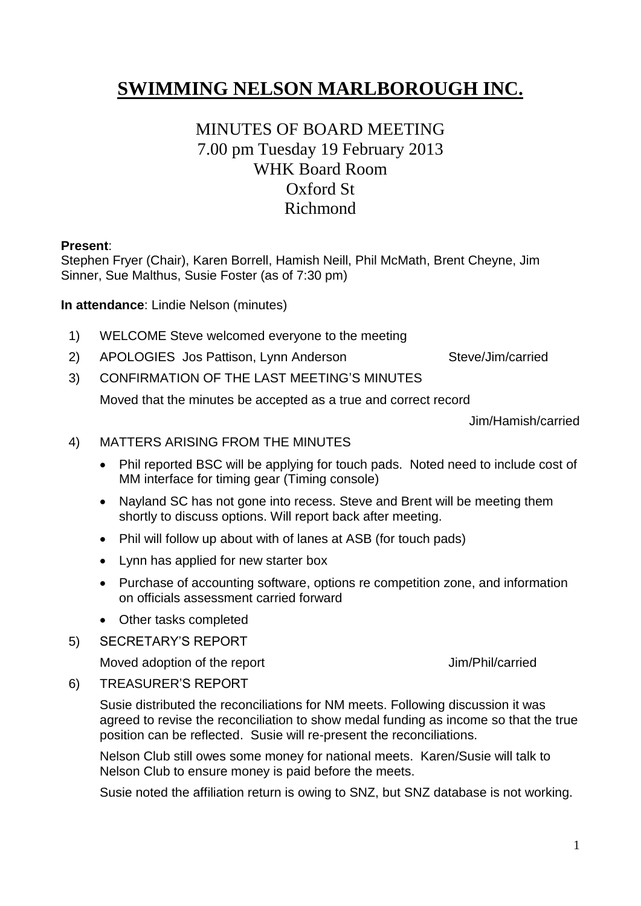# **SWIMMING NELSON MARLBOROUGH INC.**

# MINUTES OF BOARD MEETING 7.00 pm Tuesday 19 February 2013 WHK Board Room Oxford St Richmond

#### **Present**:

Stephen Fryer (Chair), Karen Borrell, Hamish Neill, Phil McMath, Brent Cheyne, Jim Sinner, Sue Malthus, Susie Foster (as of 7:30 pm)

**In attendance**: Lindie Nelson (minutes)

- 1) WELCOME Steve welcomed everyone to the meeting
- 2) APOLOGIES Jos Pattison, Lynn Anderson Steve/Jim/carried

3) CONFIRMATION OF THE LAST MEETING'S MINUTES

Moved that the minutes be accepted as a true and correct record

Jim/Hamish/carried

#### 4) MATTERS ARISING FROM THE MINUTES

- Phil reported BSC will be applying for touch pads. Noted need to include cost of MM interface for timing gear (Timing console)
- Nayland SC has not gone into recess. Steve and Brent will be meeting them shortly to discuss options. Will report back after meeting.
- Phil will follow up about with of lanes at ASB (for touch pads)
- Lynn has applied for new starter box
- Purchase of accounting software, options re competition zone, and information on officials assessment carried forward
- Other tasks completed
- 5) SECRETARY'S REPORT

Moved adoption of the report Jim/Phil/carried

#### 6) TREASURER'S REPORT

Susie distributed the reconciliations for NM meets. Following discussion it was agreed to revise the reconciliation to show medal funding as income so that the true position can be reflected. Susie will re-present the reconciliations.

Nelson Club still owes some money for national meets. Karen/Susie will talk to Nelson Club to ensure money is paid before the meets.

Susie noted the affiliation return is owing to SNZ, but SNZ database is not working.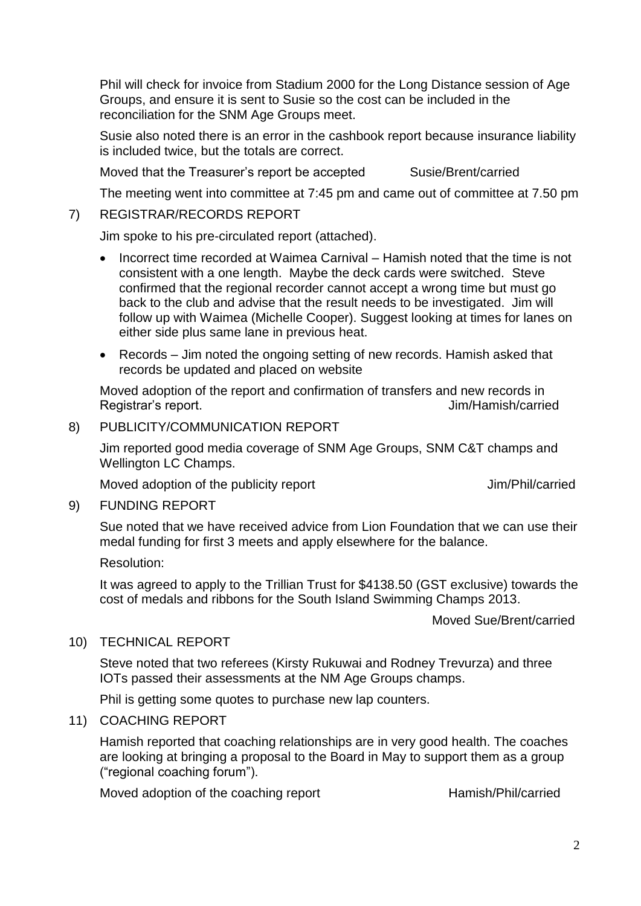Phil will check for invoice from Stadium 2000 for the Long Distance session of Age Groups, and ensure it is sent to Susie so the cost can be included in the reconciliation for the SNM Age Groups meet.

Susie also noted there is an error in the cashbook report because insurance liability is included twice, but the totals are correct.

Moved that the Treasurer's report be accepted Susie/Brent/carried

The meeting went into committee at 7:45 pm and came out of committee at 7.50 pm

#### 7) REGISTRAR/RECORDS REPORT

Jim spoke to his pre-circulated report (attached).

- Incorrect time recorded at Waimea Carnival Hamish noted that the time is not consistent with a one length. Maybe the deck cards were switched. Steve confirmed that the regional recorder cannot accept a wrong time but must go back to the club and advise that the result needs to be investigated. Jim will follow up with Waimea (Michelle Cooper). Suggest looking at times for lanes on either side plus same lane in previous heat.
- Records Jim noted the ongoing setting of new records. Hamish asked that records be updated and placed on website

Moved adoption of the report and confirmation of transfers and new records in Registrar's report. The contract of the contract of the set of the set of the set of the set of the set of the set of the set of the set of the set of the set of the set of the set of the set of the set of the set of the s

#### 8) PUBLICITY/COMMUNICATION REPORT

Jim reported good media coverage of SNM Age Groups, SNM C&T champs and Wellington LC Champs.

Moved adoption of the publicity report Jim/Phil/carried

#### 9) FUNDING REPORT

Sue noted that we have received advice from Lion Foundation that we can use their medal funding for first 3 meets and apply elsewhere for the balance.

Resolution:

It was agreed to apply to the Trillian Trust for \$4138.50 (GST exclusive) towards the cost of medals and ribbons for the South Island Swimming Champs 2013.

Moved Sue/Brent/carried

#### 10) TECHNICAL REPORT

Steve noted that two referees (Kirsty Rukuwai and Rodney Trevurza) and three IOTs passed their assessments at the NM Age Groups champs.

Phil is getting some quotes to purchase new lap counters.

#### 11) COACHING REPORT

Hamish reported that coaching relationships are in very good health. The coaches are looking at bringing a proposal to the Board in May to support them as a group ("regional coaching forum").

Moved adoption of the coaching report Hamish/Phil/carried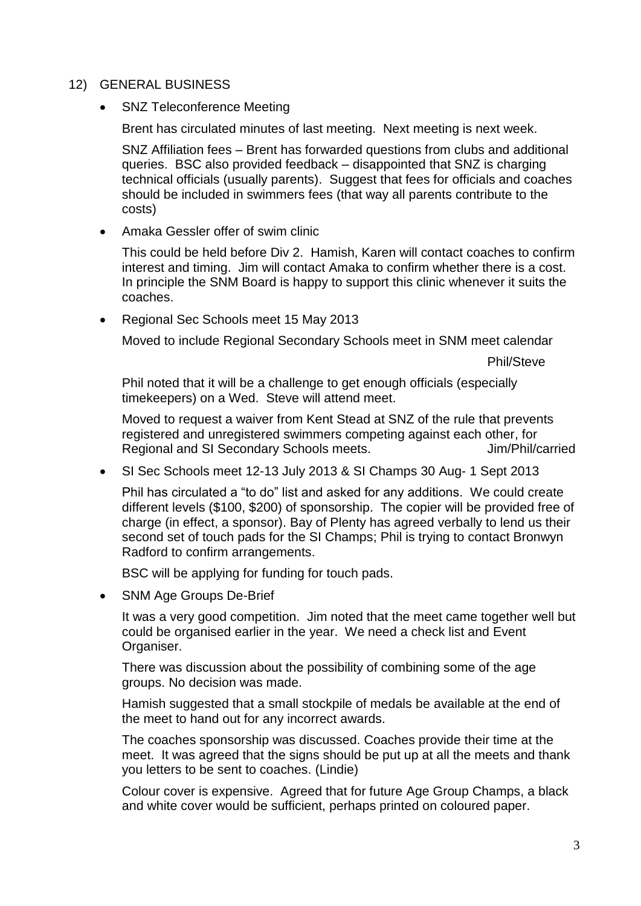#### 12) GENERAL BUSINESS

SNZ Teleconference Meeting

Brent has circulated minutes of last meeting. Next meeting is next week.

SNZ Affiliation fees – Brent has forwarded questions from clubs and additional queries. BSC also provided feedback – disappointed that SNZ is charging technical officials (usually parents). Suggest that fees for officials and coaches should be included in swimmers fees (that way all parents contribute to the costs)

Amaka Gessler offer of swim clinic

This could be held before Div 2. Hamish, Karen will contact coaches to confirm interest and timing. Jim will contact Amaka to confirm whether there is a cost. In principle the SNM Board is happy to support this clinic whenever it suits the coaches.

Regional Sec Schools meet 15 May 2013

Moved to include Regional Secondary Schools meet in SNM meet calendar

Phil/Steve

Phil noted that it will be a challenge to get enough officials (especially timekeepers) on a Wed. Steve will attend meet.

Moved to request a waiver from Kent Stead at SNZ of the rule that prevents registered and unregistered swimmers competing against each other, for Regional and SI Secondary Schools meets. **Fig. 5 Secondary Schools meets.** Jim/Phil/carried

SI Sec Schools meet 12-13 July 2013 & SI Champs 30 Aug- 1 Sept 2013

Phil has circulated a "to do" list and asked for any additions. We could create different levels (\$100, \$200) of sponsorship. The copier will be provided free of charge (in effect, a sponsor). Bay of Plenty has agreed verbally to lend us their second set of touch pads for the SI Champs; Phil is trying to contact Bronwyn Radford to confirm arrangements.

BSC will be applying for funding for touch pads.

• SNM Age Groups De-Brief

It was a very good competition. Jim noted that the meet came together well but could be organised earlier in the year. We need a check list and Event Organiser.

There was discussion about the possibility of combining some of the age groups. No decision was made.

Hamish suggested that a small stockpile of medals be available at the end of the meet to hand out for any incorrect awards.

The coaches sponsorship was discussed. Coaches provide their time at the meet. It was agreed that the signs should be put up at all the meets and thank you letters to be sent to coaches. (Lindie)

Colour cover is expensive. Agreed that for future Age Group Champs, a black and white cover would be sufficient, perhaps printed on coloured paper.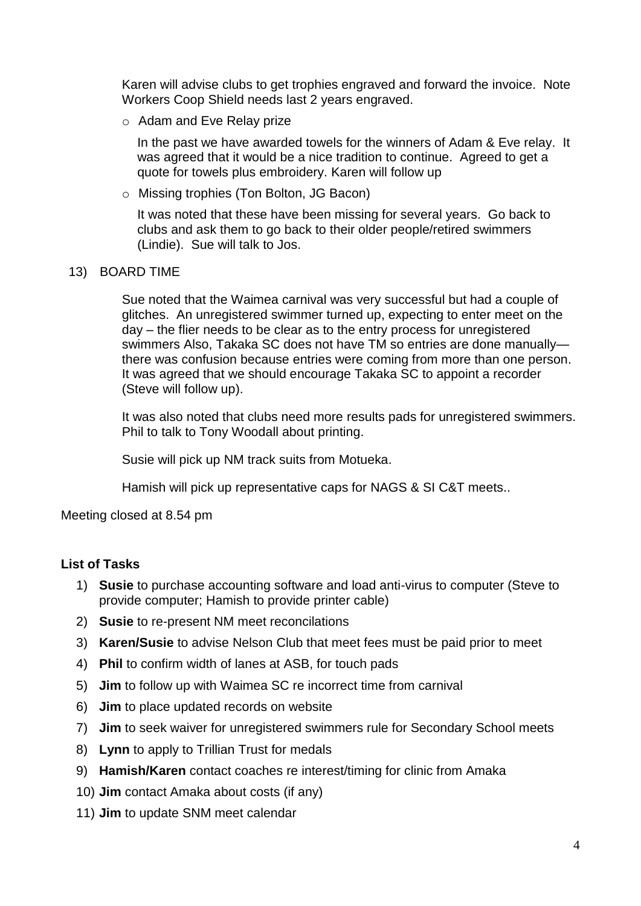Karen will advise clubs to get trophies engraved and forward the invoice. Note Workers Coop Shield needs last 2 years engraved.

o Adam and Eve Relay prize

In the past we have awarded towels for the winners of Adam & Eve relay. It was agreed that it would be a nice tradition to continue. Agreed to get a quote for towels plus embroidery. Karen will follow up

o Missing trophies (Ton Bolton, JG Bacon)

It was noted that these have been missing for several years. Go back to clubs and ask them to go back to their older people/retired swimmers (Lindie). Sue will talk to Jos.

#### 13) BOARD TIME

Sue noted that the Waimea carnival was very successful but had a couple of glitches. An unregistered swimmer turned up, expecting to enter meet on the day – the flier needs to be clear as to the entry process for unregistered swimmers Also, Takaka SC does not have TM so entries are done manually there was confusion because entries were coming from more than one person. It was agreed that we should encourage Takaka SC to appoint a recorder (Steve will follow up).

It was also noted that clubs need more results pads for unregistered swimmers. Phil to talk to Tony Woodall about printing.

Susie will pick up NM track suits from Motueka.

Hamish will pick up representative caps for NAGS & SI C&T meets..

Meeting closed at 8.54 pm

#### **List of Tasks**

- 1) **Susie** to purchase accounting software and load anti-virus to computer (Steve to provide computer; Hamish to provide printer cable)
- 2) **Susie** to re-present NM meet reconcilations
- 3) **Karen/Susie** to advise Nelson Club that meet fees must be paid prior to meet
- 4) **Phil** to confirm width of lanes at ASB, for touch pads
- 5) **Jim** to follow up with Waimea SC re incorrect time from carnival
- 6) **Jim** to place updated records on website
- 7) **Jim** to seek waiver for unregistered swimmers rule for Secondary School meets
- 8) **Lynn** to apply to Trillian Trust for medals
- 9) **Hamish/Karen** contact coaches re interest/timing for clinic from Amaka
- 10) **Jim** contact Amaka about costs (if any)
- 11) **Jim** to update SNM meet calendar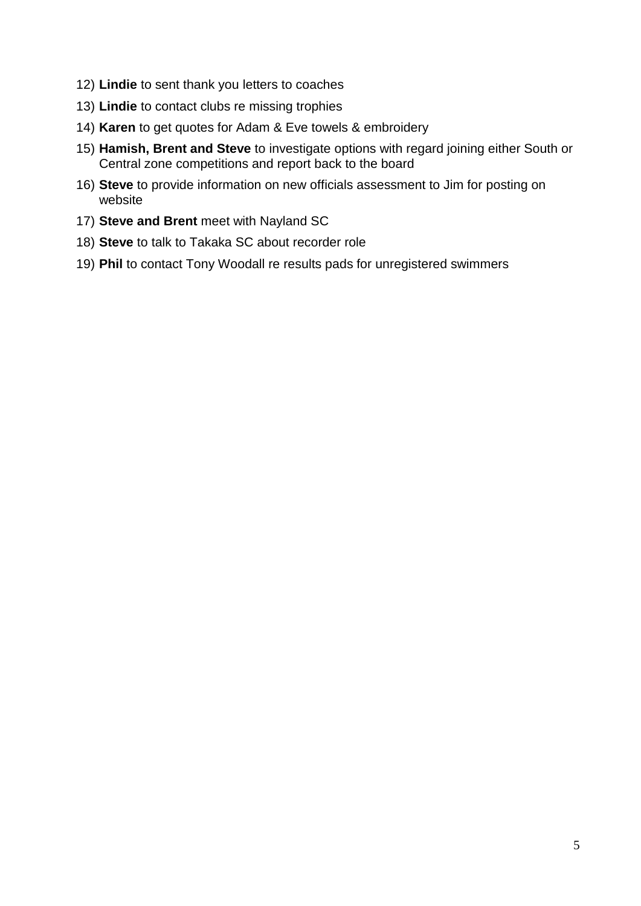- 12) **Lindie** to sent thank you letters to coaches
- 13) **Lindie** to contact clubs re missing trophies
- 14) **Karen** to get quotes for Adam & Eve towels & embroidery
- 15) **Hamish, Brent and Steve** to investigate options with regard joining either South or Central zone competitions and report back to the board
- 16) **Steve** to provide information on new officials assessment to Jim for posting on website
- 17) **Steve and Brent** meet with Nayland SC
- 18) **Steve** to talk to Takaka SC about recorder role
- 19) **Phil** to contact Tony Woodall re results pads for unregistered swimmers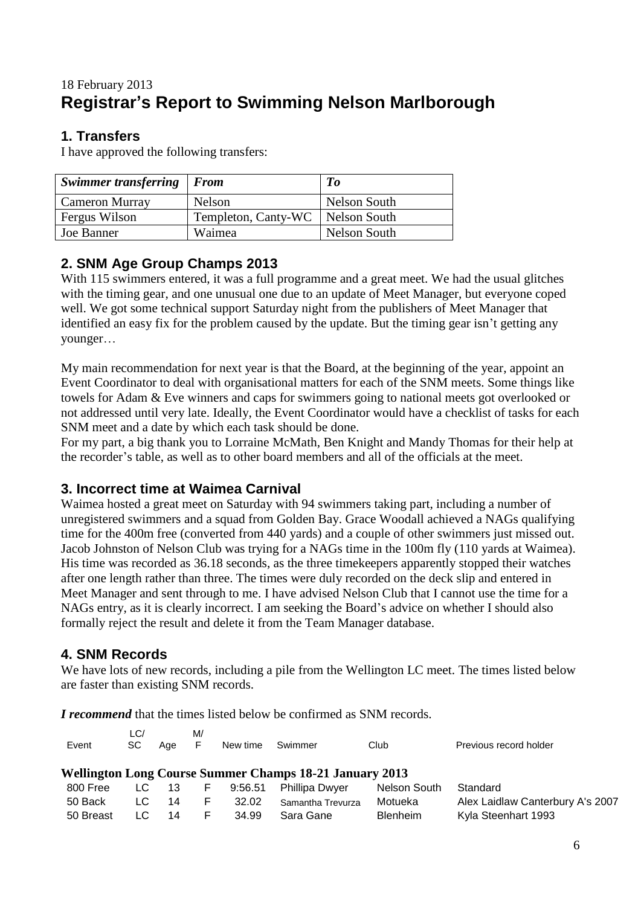# 18 February 2013 **Registrar's Report to Swimming Nelson Marlborough**

### **1. Transfers**

I have approved the following transfers:

| Swimmer transferring   From |                     | To           |
|-----------------------------|---------------------|--------------|
| <b>Cameron Murray</b>       | Nelson              | Nelson South |
| Fergus Wilson               | Templeton, Canty-WC | Nelson South |
| Joe Banner                  | Waimea              | Nelson South |

## **2. SNM Age Group Champs 2013**

With 115 swimmers entered, it was a full programme and a great meet. We had the usual glitches with the timing gear, and one unusual one due to an update of Meet Manager, but everyone coped well. We got some technical support Saturday night from the publishers of Meet Manager that identified an easy fix for the problem caused by the update. But the timing gear isn't getting any younger…

My main recommendation for next year is that the Board, at the beginning of the year, appoint an Event Coordinator to deal with organisational matters for each of the SNM meets. Some things like towels for Adam & Eve winners and caps for swimmers going to national meets got overlooked or not addressed until very late. Ideally, the Event Coordinator would have a checklist of tasks for each SNM meet and a date by which each task should be done.

For my part, a big thank you to Lorraine McMath, Ben Knight and Mandy Thomas for their help at the recorder's table, as well as to other board members and all of the officials at the meet.

#### **3. Incorrect time at Waimea Carnival**

Waimea hosted a great meet on Saturday with 94 swimmers taking part, including a number of unregistered swimmers and a squad from Golden Bay. Grace Woodall achieved a NAGs qualifying time for the 400m free (converted from 440 yards) and a couple of other swimmers just missed out. Jacob Johnston of Nelson Club was trying for a NAGs time in the 100m fly (110 yards at Waimea). His time was recorded as 36.18 seconds, as the three timekeepers apparently stopped their watches after one length rather than three. The times were duly recorded on the deck slip and entered in Meet Manager and sent through to me. I have advised Nelson Club that I cannot use the time for a NAGs entry, as it is clearly incorrect. I am seeking the Board's advice on whether I should also formally reject the result and delete it from the Team Manager database.

### **4. SNM Records**

We have lots of new records, including a pile from the Wellington LC meet. The times listed below are faster than existing SNM records.

*I recommend* that the times listed below be confirmed as SNM records.

| Event                                                          | LC/<br>SC. | Aae | M/<br>F | New time | Swimmer               | Club            | Previous record holder           |  |  |
|----------------------------------------------------------------|------------|-----|---------|----------|-----------------------|-----------------|----------------------------------|--|--|
| <b>Wellington Long Course Summer Champs 18-21 January 2013</b> |            |     |         |          |                       |                 |                                  |  |  |
| 800 Free                                                       | LC.        | -13 | F       | 9:56.51  | <b>Phillipa Dwyer</b> | Nelson South    | Standard                         |  |  |
| 50 Back                                                        | LC.        | 14  | F.      | 32.02    | Samantha Trevurza     | Motueka         | Alex Laidlaw Canterbury A's 2007 |  |  |
| 50 Breast                                                      | LC         | 14  |         | 34.99    | Sara Gane             | <b>Blenheim</b> | Kyla Steenhart 1993              |  |  |